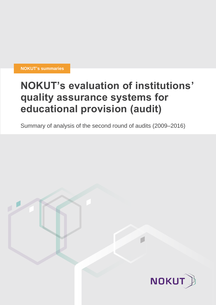**NOKUT's summaries**

## **NOKUT's evaluation of institutions' quality assurance systems for educational provision (audit)**

Summary of analysis of the second round of audits (2009–2016)

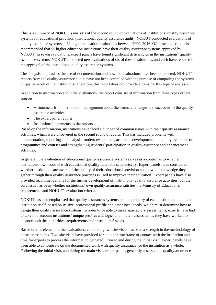This is a summary of NOKUT's analysis of the second round of evaluations of institutions' quality assurance systems for educational provision (institutional quality assurance audit). NOKUT conducted evaluations of quality assurance systems at 62 higher education institutions between 2009–2016. Of these, expert panels recommended that 55 higher education institutions have their quality assurance systems approved by NOKUT. In seven evaluations, expert panels have found significant deficiencies in the institutions' quality assurance systems. NOKUT conducted new evaluations of six of these institutions, and each have resulted in the approval of the institutions' quality assurance systems.

The analysis emphasises the use of documentation and how the evaluations have been conducted. NOKUT's reports from the quality assurance audits have not been compiled with the purpose of comparing the systems or quality work of the institutions. Therefore, this report does not provide a basis for this type of analysis.

In addition to information about the evaluations, the report consists of information from three types of text sources:

- A statement from institutions' management about the status, challenges and successes of the quality assurance activities
- The expert panel reports
- Institutions' statements to the reports

Based on the information, institutions have faced a number of common issues with their quality assurance activities, which were uncovered in the second round of audits. This has included problems with documentation, reporting and analysis, student evaluations, academic development and quality assurance of programmes and courses and strengthening students' participation in quality assurance and enhancement activities.

In general, the evaluation of educational quality assurance systems serves as a control as to whether institutions' own control with educational quality functions satisfactorily. Expert panels have considered whether institutions are aware of the quality of their educational provision and how the knowledge they gather through their quality assurance practices is used to improve their education. Expert panels have also provided recommendations for the further development of institutions' quality assurance activities, but the core issue has been whether institutions' own quality assurance satisfies the Ministry of Education's requirements and NOKUT's evaluation criteria.

NOKUT has also emphasised that quality assurances systems are the property of each institution, and it is the institution itself, based on its size, professional profile and other local needs, which must determine how to design their quality assurance systems. In order to be able to make satisfactory assessments, experts have had to take into account institutions' unique profiles and logic, and in their assessments, they have worked to balance both the authorities' requirements and institutions' needs.

Based on this element in the evaluations, conducting two site visits has been a strength in the methodology of these assessments. Two site visits have provided for a longer timeframe of contact with the institution and time for experts to process the information gathered. Prior to and during the initial visit, expert panels have been able to concentrate on the documented work with quality assurance for the institution as a whole. Following the initial visit, and during the main visit, expert panels generally assessed the quality assurance